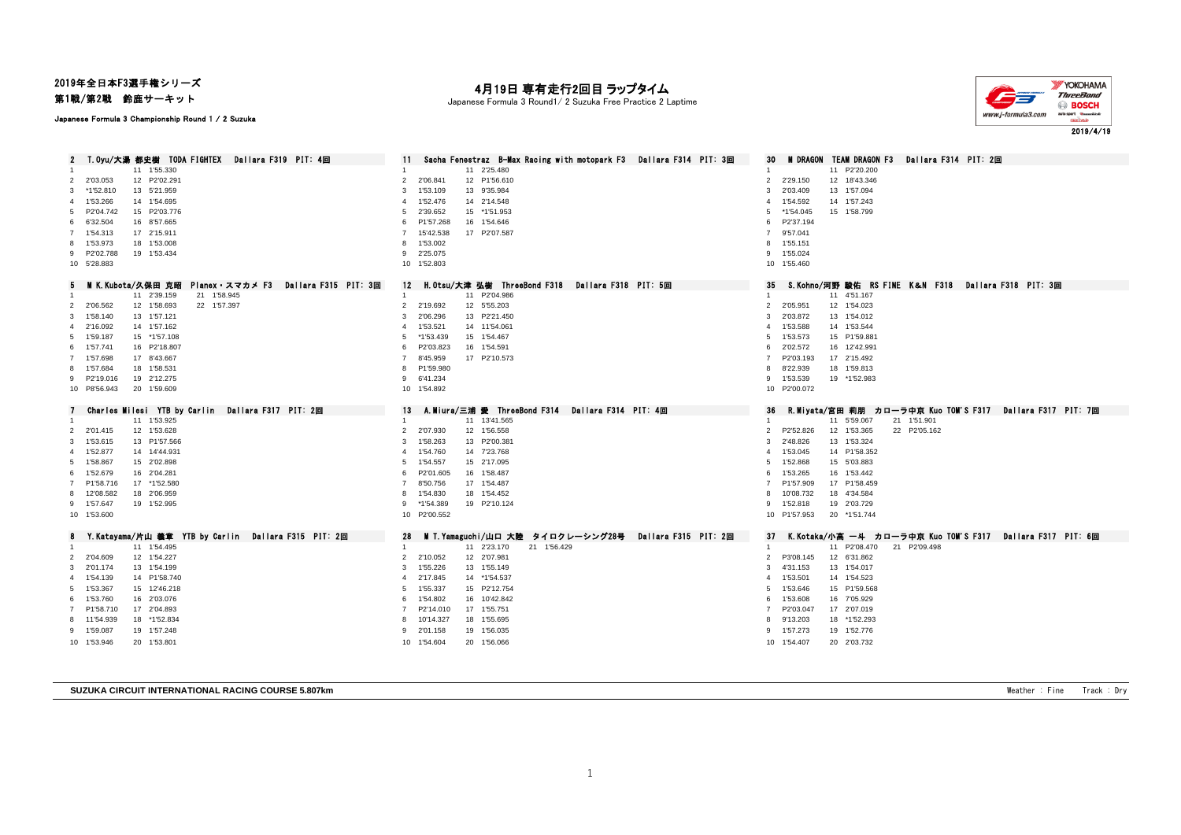## 2019年全日本F3選手権シリーズ

第1戦/第2戦 鈴鹿サーキット

## 月19日 専有走行2回目 ラップタイム

Japanese Formula 3 Round1/ 2 Suzuka Free Practice 2 Laptime



Japanese Formula 3 Championship Round 1 / 2 Suzuka

| - T.Oyu/大湯 都史樹 - TODA FIGHTEX - Dallara F319 - PIT: 4回                             | Sacha Fenestraz B-Max Racing with motopark F3 Dallara F314 PIT: 3回                                           | <b>M DRAGON TEAM DRAGON F3</b><br>Dallara F314 PIT: 2回                                                           |
|------------------------------------------------------------------------------------|--------------------------------------------------------------------------------------------------------------|------------------------------------------------------------------------------------------------------------------|
| 2<br>11 1'55.330                                                                   | 11<br>11 2'25.480                                                                                            | 30<br>11 P2'20.200                                                                                               |
| 12 P2'02.291<br>2 2'03.053                                                         | 2'06.841<br>12 P1'56.610<br>$\overline{2}$                                                                   | $\overline{1}$<br>2'29.150<br>12 18'43.346<br>$\overline{2}$                                                     |
|                                                                                    | 1'53.109<br>13 9'35.984<br>3                                                                                 | 3<br>2'03.409<br>13 1'57.094                                                                                     |
| 3 *1'52.810<br>13 5'21.959                                                         |                                                                                                              |                                                                                                                  |
| 14 1'54.695<br>4 1'53.266                                                          | 1'52.476<br>14 2'14.548<br>4                                                                                 | 1'54.592<br>14 1'57.243<br>$\overline{4}$                                                                        |
| 5 P2'04.742<br>15 P2'03.776                                                        | 2'39.652<br>15 *1'51.953<br>5                                                                                | *1'54.045<br>15 1'58.799<br>5                                                                                    |
| 6 6'32.504<br>16 8'57.665                                                          | P1'57.268<br>16 1'54.646<br>6                                                                                | P2'37.194<br>6                                                                                                   |
| 7 1'54.313<br>17 2'15.911                                                          | 15'42.538<br>17 P2'07.587<br>7                                                                               | 7 9'57.041                                                                                                       |
| 8 1'53.973<br>18 1'53.008                                                          | 1'53.002                                                                                                     | 1'55.151<br>8                                                                                                    |
| 9 P2'02.788<br>19 1'53.434                                                         | 9 2'25.075                                                                                                   | 9 1'55.024                                                                                                       |
| 10 5'28.883                                                                        | 10 1'52.803                                                                                                  | 10 1'55.460                                                                                                      |
| Dallara F315 PIT: 3回                                                               | 12 H.Otsu/大津 弘樹 ThreeBond F318 Dallara F318 PIT: 5回                                                          | S.Kohno/河野 駿佑 RS FINE K&N F318 Dallara F318 PIT: 3回<br>35.                                                       |
| 5 MIK.Kubota/久保田 克昭 Planex・スマカメ F3<br>21 1'58.945<br>11 2'39.159<br>$\overline{1}$ | 11 P2'04.986<br>$\mathbf{1}$                                                                                 | 11 4'51.167<br>$\mathbf{1}$                                                                                      |
| 12 1'58.693<br>22 1'57.397<br>2 2'06.562                                           | 2 2'19.692<br>12 5'55.203                                                                                    | 2 2'05.951<br>12 1'54.023                                                                                        |
| 3 1'58.140<br>13 1'57.121                                                          | 2'06.296<br>13 P2'21.450<br>3                                                                                | 2'03.872<br>13 1'54.012<br>3                                                                                     |
|                                                                                    | 14 11'54.061<br>4                                                                                            | 1'53.588<br>14 1'53.544<br>$\overline{4}$                                                                        |
| 14 1'57.162<br>4 2'16.092<br>5 1'59.187<br>15 *1'57.108                            | 1'53.521<br>*1'53.439<br>15 1'54.467<br>5                                                                    | 1'53.573<br>15 P1'59.881<br>5                                                                                    |
| 16 P2'18.807<br>6 1'57.741                                                         | P2'03.823<br>16 1'54.591<br>6                                                                                | 2'02.572<br>16 12'42.991<br>6                                                                                    |
|                                                                                    | $\overline{7}$                                                                                               | $\overline{7}$                                                                                                   |
| 7 1'57.698<br>17 8'43.667                                                          | 8'45.959<br>17 P2'10.573                                                                                     | P2'03.193<br>17 2'15.492                                                                                         |
| 8 1'57.684<br>18 1'58.531                                                          | P1'59.980<br>8                                                                                               | 8'22.939<br>18 1'59.813<br>8                                                                                     |
| 9 P2'19.016<br>19 2'12.275                                                         | 9 6'41.234                                                                                                   | 1'53.539<br>19 *1'52.983<br>9                                                                                    |
| 10 P8'56.943<br>20 1'59.609                                                        | 10 1'54.892                                                                                                  | 10 P2'00.072                                                                                                     |
|                                                                                    |                                                                                                              |                                                                                                                  |
|                                                                                    |                                                                                                              |                                                                                                                  |
| Charles Milesi YTB by Carlin Dallara F317 PIT: 2回                                  | A.Miura/三浦 愛 ThreeBond F314  Dallara F314  PIT: 4回<br>13                                                     | R.Miyata/宮田 莉朋 カローラ中京 Kuo TOM'S F317 Dallara F317 PIT: 7回<br>36                                                  |
| 11 1'53.925<br>$\overline{1}$                                                      | 11 13'41.565                                                                                                 | 11 5'59.067<br>21 1'51.901                                                                                       |
| 2 2'01.415<br>12 1'53.628                                                          | 2'07.930<br>12 1'56.558<br>$\overline{2}$                                                                    | P2'52.826<br>12 1'53.365<br>22 P2'05.162<br>2                                                                    |
| 3 1'53.615<br>13 P1'57.566                                                         | 1'58.263<br>13 P2'00.381<br>3                                                                                | 2'48.826<br>13 1'53.324<br>3                                                                                     |
| 4 1'52.877<br>14 14'44.931                                                         | 4 1'54.760<br>14 7'23.768                                                                                    | 1'53.045<br>14 P1'58.352<br>$\overline{4}$                                                                       |
| 5 1'58.867<br>15 2'02.898                                                          | 1'54.557<br>15 2'17.095<br>5                                                                                 | 1'52.868<br>15 5'03.883<br>5                                                                                     |
| 6 1'52.679<br>16 2'04.281                                                          | P2'01.605<br>16 1'58.487<br>6<br>7                                                                           | 1'53.265<br>16 1'53.442<br>6                                                                                     |
| 7 P1'58.716<br>17 *1'52.580                                                        | 8'50.756<br>17 1'54.487                                                                                      | P1'57.909<br>17 P1'58.459<br>$\overline{7}$                                                                      |
| 8 12'08.582<br>18 2'06.959                                                         | 1'54.830<br>18 1'54.452<br>8                                                                                 | 10'08.732<br>18 4'34.584<br>8                                                                                    |
| 9 1'57.647<br>19 1'52.995                                                          | *1'54.389<br>19 P2'10.124<br>9                                                                               | 1'52.818<br>19 2'03.729<br>9                                                                                     |
| 10 1'53.600                                                                        | 10 P2'00.552                                                                                                 | 10 P1'57.953<br>20 *1'51.744                                                                                     |
|                                                                                    |                                                                                                              |                                                                                                                  |
| Y.Katayama/片山 義章 YTB by Carlin Dallara F315 PIT: 2回<br>11 1'54.495                 | M T.Yamaguchi/山口 大陸 タイロクレーシング28号<br>Dallara F315 PIT: 2回<br>28<br>11 2'23.170<br>21 1'56.429<br>$\mathbf{1}$ | K.Kotaka/小高 一斗 カロ一ラ中京 Kuo TOM'S F317  Dallara F317 PIT: 6回<br>37<br>11 P2'08.470<br>$\mathbf{1}$<br>21 P2'09.498 |
| 12 1'54.227                                                                        | 12 2'07.981<br>2'10.052<br>$\overline{2}$                                                                    | P3'08.145<br>12 6'31.862<br>$\overline{2}$                                                                       |
| 2 2'04.609<br>3 2'01.174<br>13 1'54.199                                            | 3 1'55.226<br>13 1'55.149                                                                                    | 13 1'54.017<br>3<br>4'31.153                                                                                     |
| 4 1'54.139<br>14 P1'58.740                                                         | 2'17.845<br>14 *1'54.537<br>4                                                                                | 1'53.501<br>14 1'54.523<br>$\overline{4}$                                                                        |
| 5 1'53.367<br>15 12'46.218                                                         | 5 1'55.337<br>15 P2'12.754                                                                                   | 1'53.646<br>15 P1'59.568<br>5                                                                                    |
|                                                                                    | 6                                                                                                            | 6                                                                                                                |
| 6 1'53.760<br>16 2'03.076                                                          | 1'54.802<br>16 10'42.842<br>$\overline{7}$                                                                   | 1'53.608<br>16 7'05.929<br>$\overline{7}$                                                                        |
| 7 P1'58.710<br>17 2'04.893                                                         | P2'14.010<br>17 1'55.751<br>8                                                                                | P2'03.047<br>17 2'07.019<br>8                                                                                    |
| 8 11'54.939<br>18 *1'52.834                                                        | 10'14.327<br>18 1'55.695                                                                                     | 9'13.203<br>18 *1'52.293                                                                                         |
| 9 1'59.087<br>19 1'57.248                                                          | 9 2'01.158<br>19 1'56.035                                                                                    | 19 1'52.776<br>9 1'57.273                                                                                        |
| 10 1'53.946<br>20 1'53.801                                                         | 10 1'54.604<br>20 1'56.066                                                                                   | 10 1'54.407<br>20 2'03.732                                                                                       |

**SUZUKA CIRCUIT INTERNATIONAL RACING COURSE 5.807km COURSE 5.807km** Weather : Fine Track : Dry